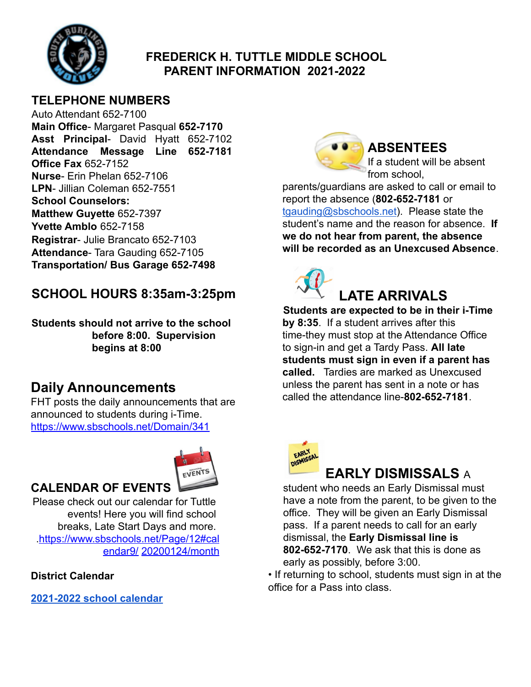

### **FREDERICK H. TUTTLE MIDDLE SCHOOL PARENT INFORMATION 2021-2022**

#### **TELEPHONE NUMBERS**

Auto Attendant 652-7100 **Main Office**- Margaret Pasqual **652-7170 Asst Principal**- David Hyatt 652-7102 **Attendance Message Line 652-7181 Office Fax** 652-7152 **Nurse**- Erin Phelan 652-7106 **LPN**- Jillian Coleman 652-7551 **School Counselors: Matthew Guyette** 652-7397 **Yvette Amblo** 652-7158 **Registrar**- Julie Brancato 652-7103 **Attendance**- Tara Gauding 652-7105 **Transportation/ Bus Garage 652-7498**

## **SCHOOL HOURS 8:35am-3:25pm**

**Students should not arrive to the school before 8:00. Supervision begins at 8:00**

# **Daily Announcements**

FHT posts the daily announcements that are announced to students during i-Time. https://www.sbschools.net/Domain/341



**CALENDAR OF EVENTS**

Please check out our calendar for Tuttle events! Here you will find school breaks, Late Start Days and more. .https://www.sbschools.net/Page/12#cal endar9/ 20200124/month

#### **District Calendar**

**[2021-2022 school calendar](https://nam02.safelinks.protection.outlook.com/?url=https%3A%2F%2Fwww.sbschools.net%2Fcms%2Flib%2FVT01819219%2FCentricity%2FDomain%2F9%2FSBSD%25202021-2022%2520Academic%2520Calendar%2520Update%2520on%252009%252020%25202021%2520with%2520TLCs.pdf&data=04%7C01%7C%7Ce3f1577bc9054eba5f8208d9e74cc0b8%7Ce5710044a1294a02adf50e7f81cf1830%7C1%7C0%7C637795139093996369%7CUnknown%7CTWFpbGZsb3d8eyJWIjoiMC4wLjAwMDAiLCJQIjoiV2luMzIiLCJBTiI6Ik1haWwiLCJXVCI6Mn0%3D%7C3000&sdata=BO8VkFJezDyB1qn5z7E%2Ffy%2BHSeCrVMbH75LcNDKlIHw%3D&reserved=0)**



## **ABSENTEES**

If a student will be absent from school,

parents/guardians are asked to call or email to report the absence (**802-652-7181** or [tgauding@sbschools.net](mailto:tgauding@sbschools.net)). Please state the student's name and the reason for absence. **If we do not hear from parent, the absence will be recorded as an Unexcused Absence**.



**Students are expected to be in their i-Time by 8:35**. If a student arrives after this time-they must stop at the Attendance Office to sign-in and get a Tardy Pass. **All late students must sign in even if a parent has called.** Tardies are marked as Unexcused unless the parent has sent in a note or has called the attendance line-**802-652-7181**.



# **EARLY DISMISSALS** A

student who needs an Early Dismissal must have a note from the parent, to be given to the office. They will be given an Early Dismissal pass. If a parent needs to call for an early dismissal, the **Early Dismissal line is 802-652-7170**. We ask that this is done as early as possibly, before 3:00.

• If returning to school, students must sign in at the office for a Pass into class.